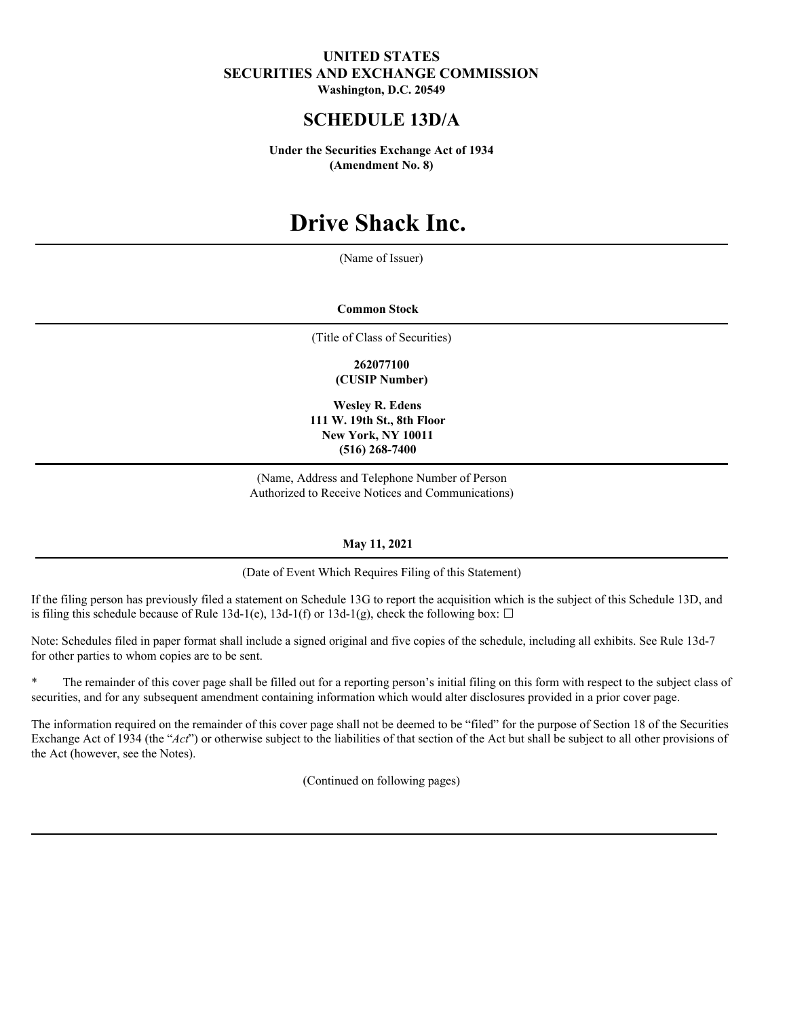## **UNITED STATES SECURITIES AND EXCHANGE COMMISSION**

**Washington, D.C. 20549**

### **SCHEDULE 13D/A**

**Under the Securities Exchange Act of 1934 (Amendment No. 8)**

# **Drive Shack Inc.**

(Name of Issuer)

**Common Stock**

(Title of Class of Securities)

**262077100 (CUSIP Number)**

**Wesley R. Edens 111 W. 19th St., 8th Floor New York, NY 10011 (516) 268-7400**

(Name, Address and Telephone Number of Person Authorized to Receive Notices and Communications)

#### **May 11, 2021**

(Date of Event Which Requires Filing of this Statement)

If the filing person has previously filed a statement on Schedule 13G to report the acquisition which is the subject of this Schedule 13D, and is filing this schedule because of Rule 13d-1(e), 13d-1(f) or 13d-1(g), check the following box:  $\Box$ 

Note: Schedules filed in paper format shall include a signed original and five copies of the schedule, including all exhibits. See Rule 13d-7 for other parties to whom copies are to be sent.

\* The remainder of this cover page shall be filled out for a reporting person's initial filing on this form with respect to the subject class of securities, and for any subsequent amendment containing information which would alter disclosures provided in a prior cover page.

The information required on the remainder of this cover page shall not be deemed to be "filed" for the purpose of Section 18 of the Securities Exchange Act of 1934 (the "*Act*") or otherwise subject to the liabilities of that section of the Act but shall be subject to all other provisions of the Act (however, see the Notes).

(Continued on following pages)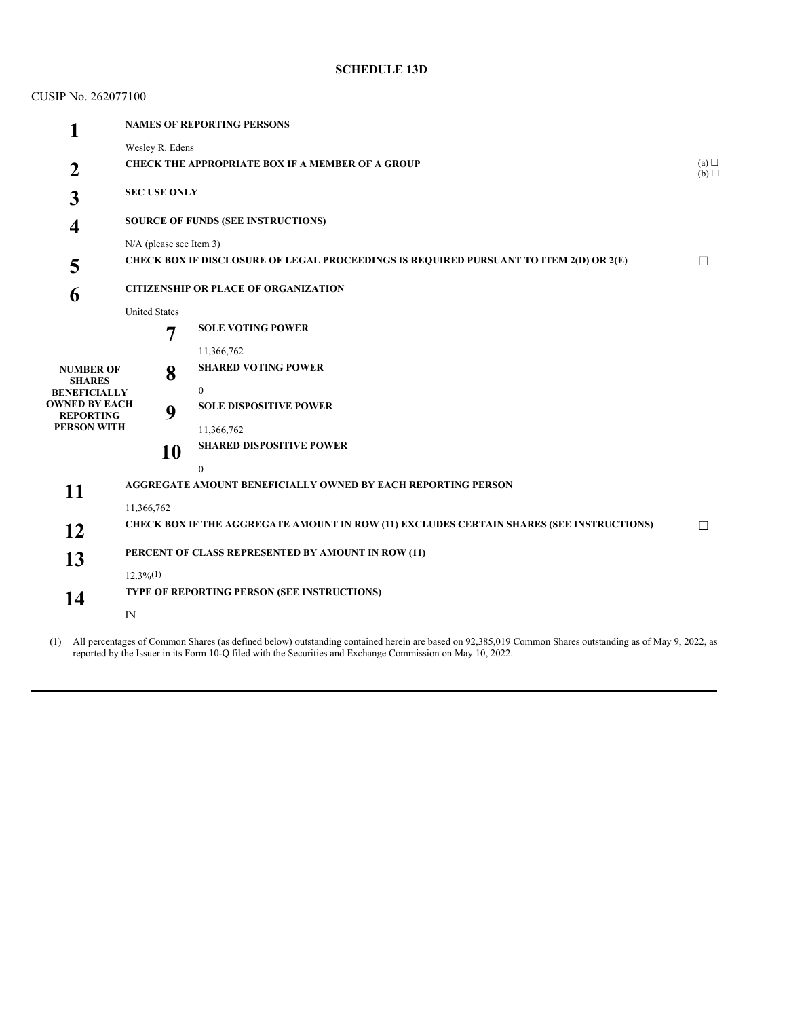#### **SCHEDULE 13D**

| CUSIP No. 262077100                      |                                                                                        |                                                                                          |            |  |  |
|------------------------------------------|----------------------------------------------------------------------------------------|------------------------------------------------------------------------------------------|------------|--|--|
| $\mathbf{1}$                             | <b>NAMES OF REPORTING PERSONS</b>                                                      |                                                                                          |            |  |  |
|                                          | Wesley R. Edens                                                                        |                                                                                          |            |  |  |
| 2                                        | <b>CHECK THE APPROPRIATE BOX IF A MEMBER OF A GROUP</b>                                |                                                                                          | (a)<br>(b) |  |  |
| 3                                        | <b>SEC USE ONLY</b>                                                                    |                                                                                          |            |  |  |
|                                          | <b>SOURCE OF FUNDS (SEE INSTRUCTIONS)</b><br>4                                         |                                                                                          |            |  |  |
|                                          | $N/A$ (please see Item 3)                                                              |                                                                                          |            |  |  |
| 5                                        | CHECK BOX IF DISCLOSURE OF LEGAL PROCEEDINGS IS REQUIRED PURSUANT TO ITEM 2(D) OR 2(E) |                                                                                          |            |  |  |
| 6                                        | <b>CITIZENSHIP OR PLACE OF ORGANIZATION</b>                                            |                                                                                          |            |  |  |
|                                          | <b>United States</b>                                                                   |                                                                                          |            |  |  |
|                                          | 7                                                                                      | <b>SOLE VOTING POWER</b>                                                                 |            |  |  |
|                                          |                                                                                        | 11,366,762                                                                               |            |  |  |
| <b>NUMBER OF</b><br><b>SHARES</b>        | 8                                                                                      | <b>SHARED VOTING POWER</b>                                                               |            |  |  |
| <b>BENEFICIALLY</b>                      |                                                                                        | $\boldsymbol{0}$                                                                         |            |  |  |
| <b>OWNED BY EACH</b><br><b>REPORTING</b> | 9                                                                                      | <b>SOLE DISPOSITIVE POWER</b>                                                            |            |  |  |
| <b>PERSON WITH</b>                       |                                                                                        | 11,366,762                                                                               |            |  |  |
|                                          | 10                                                                                     | <b>SHARED DISPOSITIVE POWER</b>                                                          |            |  |  |
|                                          |                                                                                        | $\boldsymbol{0}$                                                                         |            |  |  |
| 11                                       |                                                                                        | AGGREGATE AMOUNT BENEFICIALLY OWNED BY EACH REPORTING PERSON                             |            |  |  |
|                                          | 11,366,762                                                                             |                                                                                          |            |  |  |
| 12                                       |                                                                                        | CHECK BOX IF THE AGGREGATE AMOUNT IN ROW (11) EXCLUDES CERTAIN SHARES (SEE INSTRUCTIONS) | $\Box$     |  |  |
| 13                                       | PERCENT OF CLASS REPRESENTED BY AMOUNT IN ROW (11)                                     |                                                                                          |            |  |  |
|                                          | $12.3\%/1)$                                                                            |                                                                                          |            |  |  |
| 14                                       | TYPE OF REPORTING PERSON (SEE INSTRUCTIONS)                                            |                                                                                          |            |  |  |
|                                          | ${\rm IN}$                                                                             |                                                                                          |            |  |  |
|                                          |                                                                                        |                                                                                          |            |  |  |

(1) All percentages of Common Shares (as defined below) outstanding contained herein are based on 92,385,019 Common Shares outstanding as of May 9, 2022, as reported by the Issuer in its Form 10-Q filed with the Securities and Exchange Commission on May 10, 2022.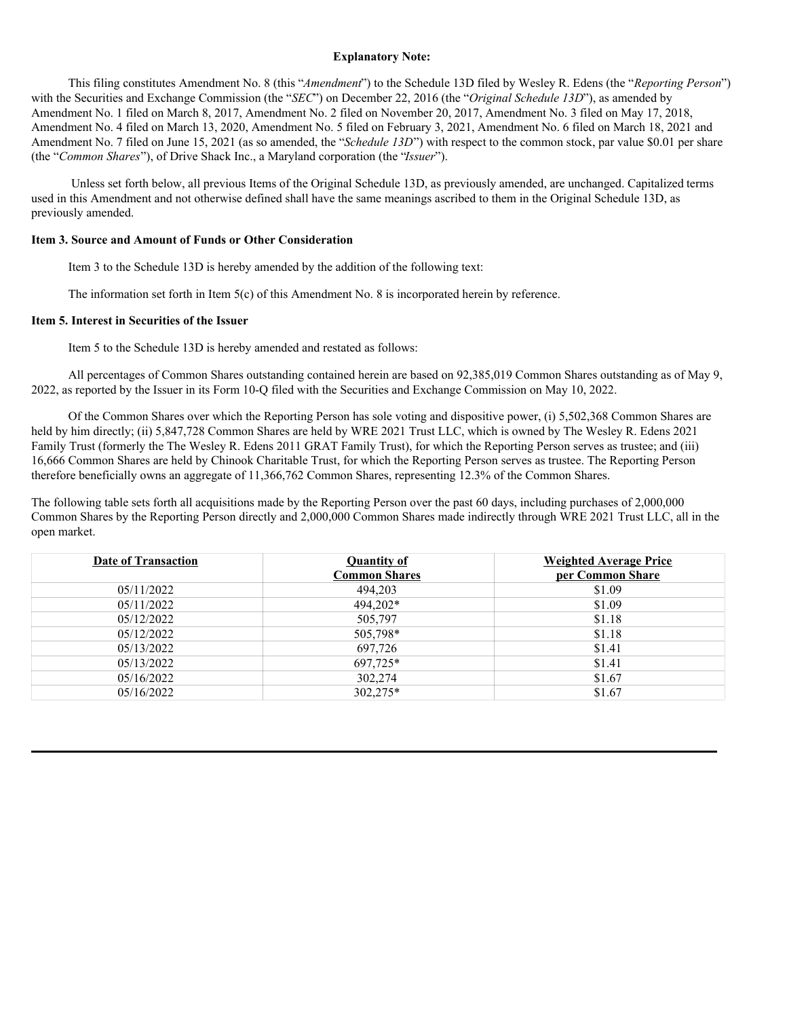#### **Explanatory Note:**

This filing constitutes Amendment No. 8 (this "*Amendment*") to the Schedule 13D filed by Wesley R. Edens (the "*Reporting Person*") with the Securities and Exchange Commission (the "*SEC*") on December 22, 2016 (the "*Original Schedule 13D*"), as amended by Amendment No. 1 filed on March 8, 2017, Amendment No. 2 filed on November 20, 2017, Amendment No. 3 filed on May 17, 2018, Amendment No. 4 filed on March 13, 2020, Amendment No. 5 filed on February 3, 2021, Amendment No. 6 filed on March 18, 2021 and Amendment No. 7 filed on June 15, 2021 (as so amended, the "*Schedule 13D*") with respect to the common stock, par value \$0.01 per share (the "*Common Shares*"), of Drive Shack Inc., a Maryland corporation (the "*Issuer*").

Unless set forth below, all previous Items of the Original Schedule 13D, as previously amended, are unchanged. Capitalized terms used in this Amendment and not otherwise defined shall have the same meanings ascribed to them in the Original Schedule 13D, as previously amended.

#### **Item 3. Source and Amount of Funds or Other Consideration**

Item 3 to the Schedule 13D is hereby amended by the addition of the following text:

The information set forth in Item 5(c) of this Amendment No. 8 is incorporated herein by reference.

#### **Item 5. Interest in Securities of the Issuer**

Item 5 to the Schedule 13D is hereby amended and restated as follows:

All percentages of Common Shares outstanding contained herein are based on 92,385,019 Common Shares outstanding as of May 9, 2022, as reported by the Issuer in its Form 10-Q filed with the Securities and Exchange Commission on May 10, 2022.

Of the Common Shares over which the Reporting Person has sole voting and dispositive power, (i) 5,502,368 Common Shares are held by him directly; (ii) 5,847,728 Common Shares are held by WRE 2021 Trust LLC, which is owned by The Wesley R. Edens 2021 Family Trust (formerly the The Wesley R. Edens 2011 GRAT Family Trust), for which the Reporting Person serves as trustee; and (iii) 16,666 Common Shares are held by Chinook Charitable Trust, for which the Reporting Person serves as trustee. The Reporting Person therefore beneficially owns an aggregate of 11,366,762 Common Shares, representing 12.3% of the Common Shares.

The following table sets forth all acquisitions made by the Reporting Person over the past 60 days, including purchases of 2,000,000 Common Shares by the Reporting Person directly and 2,000,000 Common Shares made indirectly through WRE 2021 Trust LLC, all in the open market.

| Date of Transaction | <b>Quantity of</b>   | <b>Weighted Average Price</b> |
|---------------------|----------------------|-------------------------------|
|                     | <b>Common Shares</b> | per Common Share              |
| 05/11/2022          | 494,203              | \$1.09                        |
| 05/11/2022          | 494.202*             | \$1.09                        |
| 05/12/2022          | 505,797              | \$1.18                        |
| 05/12/2022          | 505,798*             | \$1.18                        |
| 05/13/2022          | 697,726              | \$1.41                        |
| 05/13/2022          | 697.725*             | \$1.41                        |
| 05/16/2022          | 302,274              | \$1.67                        |
| 05/16/2022          | 302,275*             | \$1.67                        |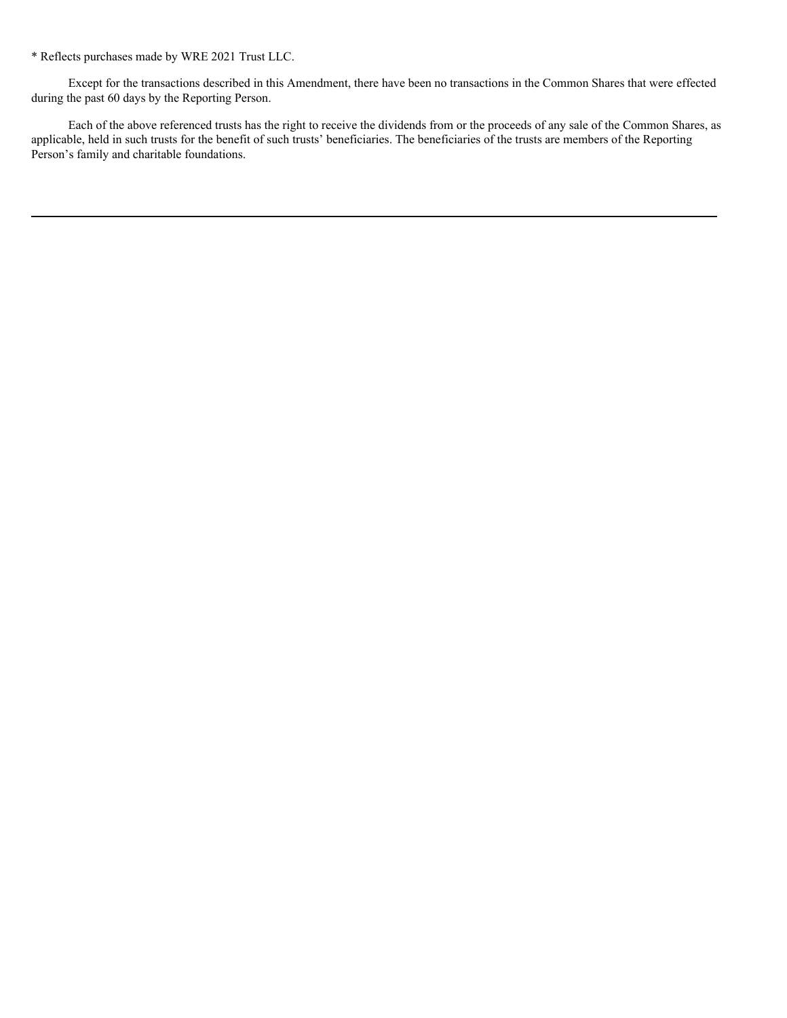\* Reflects purchases made by WRE 2021 Trust LLC.

Except for the transactions described in this Amendment, there have been no transactions in the Common Shares that were effected during the past 60 days by the Reporting Person.

Each of the above referenced trusts has the right to receive the dividends from or the proceeds of any sale of the Common Shares, as applicable, held in such trusts for the benefit of such trusts' beneficiaries. The beneficiaries of the trusts are members of the Reporting Person's family and charitable foundations.